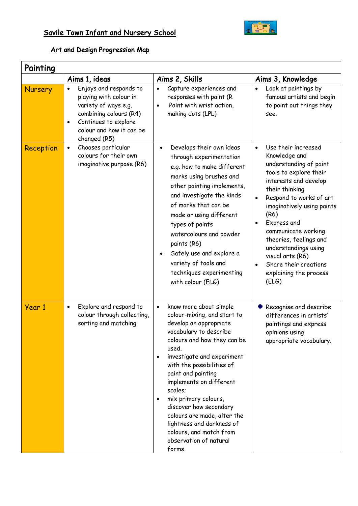## Savile Town Infant and Nursery School



## Art and Design Progression Map

| Painting  |                                                                                                                                                                                     |                                                                                                                                                                                                                                                                                                                                                                                                                                                                                 |                                                                                                                                                                                                                                                                                                                                                                                                        |
|-----------|-------------------------------------------------------------------------------------------------------------------------------------------------------------------------------------|---------------------------------------------------------------------------------------------------------------------------------------------------------------------------------------------------------------------------------------------------------------------------------------------------------------------------------------------------------------------------------------------------------------------------------------------------------------------------------|--------------------------------------------------------------------------------------------------------------------------------------------------------------------------------------------------------------------------------------------------------------------------------------------------------------------------------------------------------------------------------------------------------|
|           | Aims 1, ideas                                                                                                                                                                       | Aims 2, Skills                                                                                                                                                                                                                                                                                                                                                                                                                                                                  | Aims 3, Knowledge                                                                                                                                                                                                                                                                                                                                                                                      |
| Nursery   | Enjoys and responds to<br>playing with colour in<br>variety of ways e.g.<br>combining colours (R4)<br>Continues to explore<br>$\bullet$<br>colour and how it can be<br>changed (R5) | Capture experiences and<br>responses with paint (R<br>Paint with wrist action,<br>$\bullet$<br>making dots (LPL)                                                                                                                                                                                                                                                                                                                                                                | Look at paintings by<br>famous artists and begin<br>to point out things they<br>see.                                                                                                                                                                                                                                                                                                                   |
| Reception | Chooses particular<br>$\bullet$<br>colours for their own<br>imaginative purpose (R6)                                                                                                | Develops their own ideas<br>through experimentation<br>e.g. how to make different<br>marks using brushes and<br>other painting implements,<br>and investigate the kinds<br>of marks that can be<br>made or using different<br>types of paints<br>watercolours and powder<br>paints (R6)<br>Safely use and explore a<br>variety of tools and<br>techniques experimenting<br>with colour (ELG)                                                                                    | Use their increased<br>$\bullet$<br>Knowledge and<br>understanding of paint<br>tools to explore their<br>interests and develop<br>their thinking<br>Respond to works of art<br>$\bullet$<br>imaginatively using paints<br>(R6)<br>Express and<br>communicate working<br>theories, feelings and<br>understandings using<br>visual arts (R6)<br>Share their creations<br>explaining the process<br>(ELG) |
| Year 1    | Explore and respond to<br>$\bullet$<br>colour through collecting,<br>sorting and matching                                                                                           | know more about simple<br>$\bullet$<br>colour-mixing, and start to<br>develop an appropriate<br>vocabulary to describe<br>colours and how they can be<br>used.<br>investigate and experiment<br>$\bullet$<br>with the possibilities of<br>paint and painting<br>implements on different<br>scales;<br>mix primary colours,<br>discover how secondary<br>colours are made, alter the<br>lightness and darkness of<br>colours, and match from<br>observation of natural<br>forms. | Recognise and describe<br>differences in artists'<br>paintings and express<br>opinions using<br>appropriate vocabulary.                                                                                                                                                                                                                                                                                |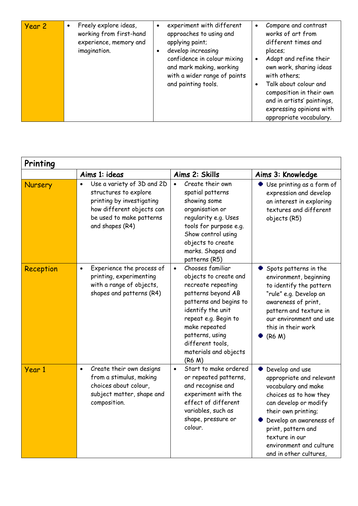| Year 2 | Freely explore ideas,<br>$\bullet$<br>working from first-hand<br>experience, memory and<br>imagination. |  | experiment with different<br>approaches to using and<br>applying paint;<br>develop increasing<br>confidence in colour mixing<br>and mark making, working<br>with a wider range of paints<br>and painting tools. | $\bullet$ | Compare and contrast<br>works of art from<br>different times and<br>places;<br>Adapt and refine their<br>own work, sharing ideas<br>with others;<br>Talk about colour and<br>composition in their own<br>and in artists' paintings,<br>expressing opinions with<br>appropriate vocabulary. |
|--------|---------------------------------------------------------------------------------------------------------|--|-----------------------------------------------------------------------------------------------------------------------------------------------------------------------------------------------------------------|-----------|--------------------------------------------------------------------------------------------------------------------------------------------------------------------------------------------------------------------------------------------------------------------------------------------|
|--------|---------------------------------------------------------------------------------------------------------|--|-----------------------------------------------------------------------------------------------------------------------------------------------------------------------------------------------------------------|-----------|--------------------------------------------------------------------------------------------------------------------------------------------------------------------------------------------------------------------------------------------------------------------------------------------|

| Printing  |                                                                                                                                                                           |                                                                                                                                                                                                                                                                      |                                                                                                                                                                                                                                                                      |  |
|-----------|---------------------------------------------------------------------------------------------------------------------------------------------------------------------------|----------------------------------------------------------------------------------------------------------------------------------------------------------------------------------------------------------------------------------------------------------------------|----------------------------------------------------------------------------------------------------------------------------------------------------------------------------------------------------------------------------------------------------------------------|--|
|           | Aims 1: ideas                                                                                                                                                             | Aims 2: Skills                                                                                                                                                                                                                                                       | Aims 3: Knowledge                                                                                                                                                                                                                                                    |  |
| Nursery   | Use a variety of 3D and 2D<br>$\bullet$<br>structures to explore<br>printing by investigating<br>how different objects can<br>be used to make patterns<br>and shapes (R4) | Create their own<br>$\bullet$<br>spatial patterns<br>showing some<br>organisation or<br>regularity e.g. Uses<br>tools for purpose e.g.<br>Show control using<br>objects to create<br>marks. Shapes and<br>patterns (R5)                                              | Use printing as a form of<br>expression and develop<br>an interest in exploring<br>textures and different<br>objects (R5)                                                                                                                                            |  |
| Reception | Experience the process of<br>$\bullet$<br>printing, experimenting<br>with a range of objects,<br>shapes and patterns (R4)                                                 | Chooses familiar<br>$\bullet$<br>objects to create and<br>recreate repeating<br>patterns beyond AB<br>patterns and begins to<br>identify the unit<br>repeat e.g. Begin to<br>make repeated<br>patterns, using<br>different tools,<br>materials and objects<br>(R6 M) | Spots patterns in the<br>environment, beginning<br>to identify the pattern<br>"rule" e.g. Develop an<br>awareness of print,<br>pattern and texture in<br>our environment and use<br>this in their work<br>(R6 M)                                                     |  |
| Year 1    | Create their own designs<br>$\bullet$<br>from a stimulus, making<br>choices about colour,<br>subject matter, shape and<br>composition.                                    | Start to make ordered<br>$\bullet$<br>or repeated patterns,<br>and recognise and<br>experiment with the<br>effect of different<br>variables, such as<br>shape, pressure or<br>colour.                                                                                | Develop and use<br>appropriate and relevant<br>vocabulary and make<br>choices as to how they<br>can develop or modify<br>their own printing;<br>Develop an awareness of<br>print, pattern and<br>texture in our<br>environment and culture<br>and in other cultures, |  |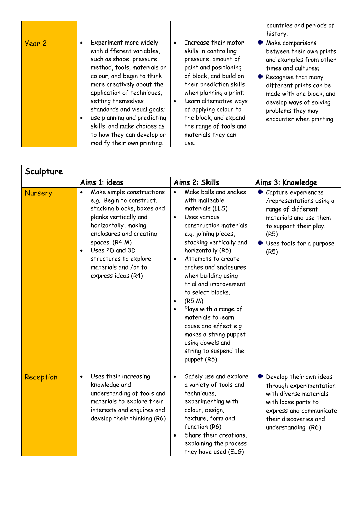|        |                                                                                                                                                                                                                                                                                                                                                                                             |                                                                                                                                                                                                                                                                                                                                            | countries and periods of<br>history.                                                                                                                                                                                                                       |
|--------|---------------------------------------------------------------------------------------------------------------------------------------------------------------------------------------------------------------------------------------------------------------------------------------------------------------------------------------------------------------------------------------------|--------------------------------------------------------------------------------------------------------------------------------------------------------------------------------------------------------------------------------------------------------------------------------------------------------------------------------------------|------------------------------------------------------------------------------------------------------------------------------------------------------------------------------------------------------------------------------------------------------------|
| Year 2 | Experiment more widely<br>with different variables,<br>such as shape, pressure,<br>method, tools, materials or<br>colour, and begin to think<br>more creatively about the<br>application of techniques,<br>setting themselves<br>standards and visual goals;<br>use planning and predicting<br>٠<br>skills, and make choices as<br>to how they can develop or<br>modify their own printing. | Increase their motor<br>$\bullet$<br>skills in controlling<br>pressure, amount of<br>paint and positioning<br>of block, and build on<br>their prediction skills<br>when planning a print;<br>Learn alternative ways<br>$\bullet$<br>of applying colour to<br>the block, and expand<br>the range of tools and<br>materials they can<br>use. | • Make comparisons<br>between their own prints<br>and examples from other<br>times and cultures;<br>Recognise that many<br>different prints can be<br>made with one block, and<br>develop ways of solving<br>problems they may<br>encounter when printing. |

| Sculpture |                                                                                                                                                                                                                                                                                                      |                                                                                                                                                                                                                                                                                                                                                                                                                                                                                                                            |                                                                                                                                                                               |
|-----------|------------------------------------------------------------------------------------------------------------------------------------------------------------------------------------------------------------------------------------------------------------------------------------------------------|----------------------------------------------------------------------------------------------------------------------------------------------------------------------------------------------------------------------------------------------------------------------------------------------------------------------------------------------------------------------------------------------------------------------------------------------------------------------------------------------------------------------------|-------------------------------------------------------------------------------------------------------------------------------------------------------------------------------|
|           | Aims 1: ideas                                                                                                                                                                                                                                                                                        | Aims 2: Skills                                                                                                                                                                                                                                                                                                                                                                                                                                                                                                             | Aims 3: Knowledge                                                                                                                                                             |
| Nursery   | Make simple constructions<br>$\bullet$<br>e.g. Begin to construct,<br>stacking blocks, boxes and<br>planks vertically and<br>horizontally, making<br>enclosures and creating<br>spaces. (R4 M)<br>Uses 2D and 3D<br>$\bullet$<br>structures to explore<br>materials and /or to<br>express ideas (R4) | Make balls and snakes<br>with malleable<br>materials (LLS)<br>Uses various<br>$\bullet$<br>construction materials<br>e.g. joining pieces,<br>stacking vertically and<br>horizontally (R5)<br>Attempts to create<br>$\bullet$<br>arches and enclosures<br>when building using<br>trial and improvement<br>to select blocks.<br>(R5 M)<br>$\bullet$<br>Plays with a range of<br>$\bullet$<br>materials to learn<br>cause and effect e.g<br>makes a string puppet<br>using dowels and<br>string to suspend the<br>puppet (R5) | Capture experiences<br>/representations using a<br>range of different<br>materials and use them<br>to support their play.<br>(R5)<br>Uses tools for a purpose<br>(R5)         |
| Reception | Uses their increasing<br>$\bullet$<br>knowledge and<br>understanding of tools and<br>materials to explore their<br>interests and enquires and<br>develop their thinking (R6)                                                                                                                         | Safely use and explore<br>$\bullet$<br>a variety of tools and<br>techniques,<br>experimenting with<br>colour, design,<br>texture, form and<br>function (R6)<br>Share their creations,<br>$\bullet$<br>explaining the process<br>they have used (ELG)                                                                                                                                                                                                                                                                       | Develop their own ideas<br>through experimentation<br>with diverse materials<br>with loose parts to<br>express and communicate<br>their discoveries and<br>understanding (R6) |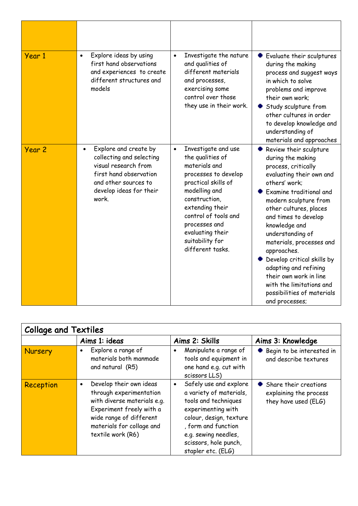| Year 1 | Explore ideas by using<br>$\bullet$<br>first hand observations<br>and experiences to create<br>different structures and<br>models                                            | Investigate the nature<br>$\bullet$<br>and qualities of<br>different materials<br>and processes,<br>exercising some<br>control over those<br>they use in their work.                                                                                                          | Evaluate their sculptures<br>during the making<br>process and suggest ways<br>in which to solve<br>problems and improve<br>their own work:<br>Study sculpture from<br>other cultures in order<br>to develop knowledge and<br>understanding of<br>materials and approaches                                                                                                                                                                                          |
|--------|------------------------------------------------------------------------------------------------------------------------------------------------------------------------------|-------------------------------------------------------------------------------------------------------------------------------------------------------------------------------------------------------------------------------------------------------------------------------|--------------------------------------------------------------------------------------------------------------------------------------------------------------------------------------------------------------------------------------------------------------------------------------------------------------------------------------------------------------------------------------------------------------------------------------------------------------------|
| Year 2 | Explore and create by<br>$\bullet$<br>collecting and selecting<br>visual research from<br>first hand observation<br>and other sources to<br>develop ideas for their<br>work. | Investigate and use<br>$\bullet$<br>the qualities of<br>materials and<br>processes to develop<br>practical skills of<br>modelling and<br>construction,<br>extending their<br>control of tools and<br>processes and<br>evaluating their<br>suitability for<br>different tasks. | Review their sculpture<br>during the making<br>process, critically<br>evaluating their own and<br>others' work:<br>Examine traditional and<br>modern sculpture from<br>other cultures, places<br>and times to develop<br>knowledge and<br>understanding of<br>materials, processes and<br>approaches.<br>Develop critical skills by<br>adapting and refining<br>their own work in line<br>with the limitations and<br>possibilities of materials<br>and processes; |

| <b>Collage and Textiles</b> |                                                                                                                                                                                                         |                                                                                                                                                                                                                                       |                                                                           |
|-----------------------------|---------------------------------------------------------------------------------------------------------------------------------------------------------------------------------------------------------|---------------------------------------------------------------------------------------------------------------------------------------------------------------------------------------------------------------------------------------|---------------------------------------------------------------------------|
|                             | Aims 1: ideas                                                                                                                                                                                           | Aims 2: Skills                                                                                                                                                                                                                        | Aims 3: Knowledge                                                         |
| <b>Nursery</b>              | Explore a range of<br>$\bullet$<br>materials both manmade<br>and natural (R5)                                                                                                                           | Manipulate a range of<br>$\bullet$<br>tools and equipment in<br>one hand e.g. cut with<br>scissors LLS)                                                                                                                               | Begin to be interested in<br>۰<br>and describe textures                   |
| Reception                   | Develop their own ideas<br>$\bullet$<br>through experimentation<br>with diverse materials e.g.<br>Experiment freely with a<br>wide range of different<br>materials for collage and<br>textile work (R6) | Safely use and explore<br>$\bullet$<br>a variety of materials,<br>tools and techniques<br>experimenting with<br>colour, design, texture<br>, form and function<br>e.g. sewing needles,<br>scissors, hole punch,<br>stapler etc. (ELG) | • Share their creations<br>explaining the process<br>they have used (ELG) |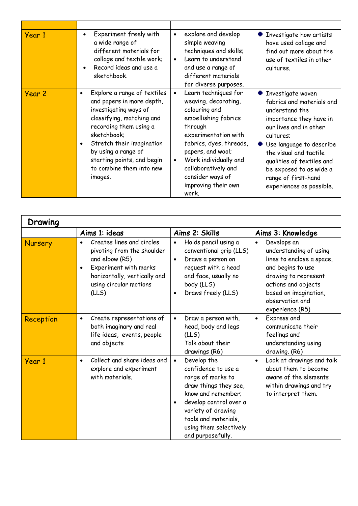| Year 1 | Experiment freely with<br>a wide range of<br>different materials for<br>collage and textile work;<br>Record ideas and use a<br>sketchbook.                                                                                                                                                    | explore and develop<br>$\bullet$<br>simple weaving<br>techniques and skills;<br>Learn to understand<br>$\bullet$<br>and use a range of<br>different materials<br>for diverse purposes.                                                                                                                 | $\bullet$ Investigate how artists<br>have used collage and<br>find out more about the<br>use of textiles in other<br>cultures.                                                                                                                                                                             |
|--------|-----------------------------------------------------------------------------------------------------------------------------------------------------------------------------------------------------------------------------------------------------------------------------------------------|--------------------------------------------------------------------------------------------------------------------------------------------------------------------------------------------------------------------------------------------------------------------------------------------------------|------------------------------------------------------------------------------------------------------------------------------------------------------------------------------------------------------------------------------------------------------------------------------------------------------------|
| Year 2 | Explore a range of textiles<br>and papers in more depth,<br>investigating ways of<br>classifying, matching and<br>recording them using a<br>sketchbook;<br>Stretch their imagination<br>$\bullet$<br>by using a range of<br>starting points, and begin<br>to combine them into new<br>images. | Learn techniques for<br>$\bullet$<br>weaving, decorating,<br>colouring and<br>embellishing fabrics<br>through<br>experimentation with<br>fabrics, dyes, threads,<br>papers, and wool;<br>Work individually and<br>$\bullet$<br>collaboratively and<br>consider ways of<br>improving their own<br>work. | <b>Investigate woven</b><br>fabrics and materials and<br>understand the<br>importance they have in<br>our lives and in other<br>cultures;<br>Use language to describe<br>the visual and tactile<br>qualities of textiles and<br>be exposed to as wide a<br>range of first-hand<br>experiences as possible. |

| Drawing   |                                                                                                                                                                                         |                                                                                                                                                                                                                                                         |                                                                                                                                                                                                                    |
|-----------|-----------------------------------------------------------------------------------------------------------------------------------------------------------------------------------------|---------------------------------------------------------------------------------------------------------------------------------------------------------------------------------------------------------------------------------------------------------|--------------------------------------------------------------------------------------------------------------------------------------------------------------------------------------------------------------------|
|           | Aims 1: ideas                                                                                                                                                                           | Aims 2: Skills                                                                                                                                                                                                                                          | Aims 3: Knowledge                                                                                                                                                                                                  |
| Nursery   | Creates lines and circles<br>$\bullet$<br>pivoting from the shoulder<br>and elbow (R5)<br>Experiment with marks<br>٠<br>horizontally, vertically and<br>using circular motions<br>(LLS) | Holds pencil using a<br>$\bullet$<br>conventional grip (LLS)<br>Draws a person on<br>$\bullet$<br>request with a head<br>and face, usually no<br>body (LLS)<br>Draws freely (LLS)<br>$\bullet$                                                          | Develops an<br>$\bullet$<br>understanding of using<br>lines to enclose a space,<br>and begins to use<br>drawing to represent<br>actions and objects<br>based on imagination,<br>observation and<br>experience (R5) |
| Reception | Create representations of<br>$\bullet$<br>both imaginary and real<br>life ideas, events, people<br>and objects                                                                          | Draw a person with,<br>$\bullet$<br>head, body and legs<br>(LLS)<br>Talk about their<br>drawings (R6)                                                                                                                                                   | Express and<br>$\bullet$<br>communicate their<br>feelings and<br>understanding using<br>drawing. (R6)                                                                                                              |
| Year 1    | Collect and share ideas and<br>$\bullet$<br>explore and experiment<br>with materials.                                                                                                   | Develop the<br>$\bullet$<br>confidence to use a<br>range of marks to<br>draw things they see,<br>know and remember;<br>develop control over a<br>$\bullet$<br>variety of drawing<br>tools and materials,<br>using them selectively<br>and purposefully. | Look at drawings and talk<br>$\bullet$<br>about them to become<br>aware of the elements<br>within drawings and try<br>to interpret them.                                                                           |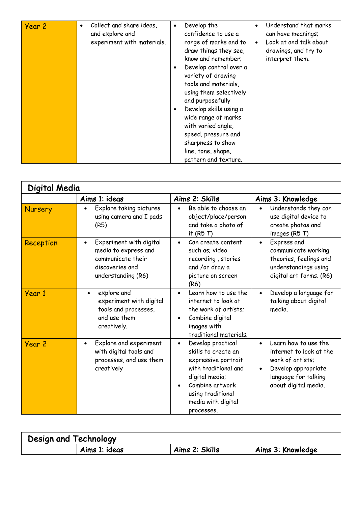| Year 2 | Collect and share ideas,<br>$\bullet$<br>and explore and<br>experiment with materials. | Develop the<br>$\bullet$<br>confidence to use a<br>range of marks and to<br>draw things they see,<br>know and remember;<br>Develop control over a<br>variety of drawing<br>tools and materials,<br>using them selectively<br>and purposefully<br>Develop skills using a<br>wide range of marks<br>with varied angle,<br>speed, pressure and<br>sharpness to show | Understand that marks<br>can have meanings;<br>Look at and talk about<br>drawings, and try to<br>interpret them. |
|--------|----------------------------------------------------------------------------------------|------------------------------------------------------------------------------------------------------------------------------------------------------------------------------------------------------------------------------------------------------------------------------------------------------------------------------------------------------------------|------------------------------------------------------------------------------------------------------------------|
|        |                                                                                        | line, tone, shape,<br>pattern and texture.                                                                                                                                                                                                                                                                                                                       |                                                                                                                  |

| Digital Media |                                                                                                                            |                                                                                                                                                                                                    |                                                                                                                                                         |
|---------------|----------------------------------------------------------------------------------------------------------------------------|----------------------------------------------------------------------------------------------------------------------------------------------------------------------------------------------------|---------------------------------------------------------------------------------------------------------------------------------------------------------|
|               | Aims 1: ideas                                                                                                              | Aims 2: Skills                                                                                                                                                                                     | Aims 3: Knowledge                                                                                                                                       |
| Nursery       | Explore taking pictures<br>using camera and I pads<br>(R5)                                                                 | Be able to choose an<br>object/place/person<br>and take a photo of<br>it $(R5T)$                                                                                                                   | Understands they can<br>use digital device to<br>create photos and<br>images (R5T)                                                                      |
| Reception     | Experiment with digital<br>$\bullet$<br>media to express and<br>communicate their<br>discoveries and<br>understanding (R6) | Can create content<br>$\bullet$<br>such as; video<br>recording, stories<br>and /or draw a<br>picture on screen<br>(R6)                                                                             | Express and<br>$\bullet$<br>communicate working<br>theories, feelings and<br>understandings using<br>digital art forms. (R6)                            |
| Year 1        | explore and<br>$\bullet$<br>experiment with digital<br>tools and processes,<br>and use them<br>creatively.                 | Learn how to use the<br>internet to look at<br>the work of artists;<br>Combine digital<br>images with<br>traditional materials.                                                                    | Develop a language for<br>talking about digital<br>media.                                                                                               |
| Year 2        | Explore and experiment<br>$\bullet$<br>with digital tools and<br>processes, and use them<br>creatively                     | Develop practical<br>$\bullet$<br>skills to create an<br>expressive portrait<br>with traditional and<br>digital media;<br>Combine artwork<br>using traditional<br>media with digital<br>processes. | Learn how to use the<br>internet to look at the<br>work of artists;<br>Develop appropriate<br>$\bullet$<br>language for talking<br>about digital media. |

| Design and Technology |               |                |                   |
|-----------------------|---------------|----------------|-------------------|
|                       | Aims 1: ideas | Aims 2: Skills | Aims 3: Knowledge |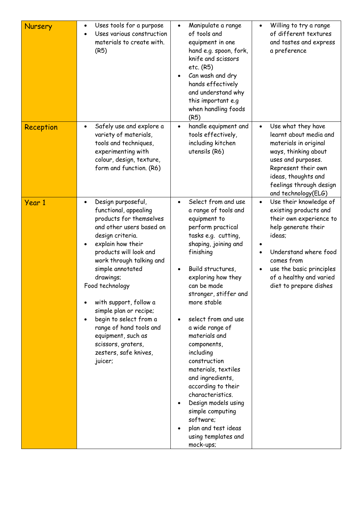| <b>Nursery</b> | Uses tools for a purpose<br>$\bullet$<br>Uses various construction<br>materials to create with.<br>(R5)                                                                                                                                                                                                                                                                                                                                                     | Manipulate a range<br>$\bullet$<br>of tools and<br>equipment in one<br>hand e.g. spoon, fork,<br>knife and scissors<br>etc. (R5)<br>Can wash and dry<br>hands effectively<br>and understand why<br>this important e.g<br>when handling foods<br>(R5)                                                                                                                                                                                                                                                                                                                       | Willing to try a range<br>$\bullet$<br>of different textures<br>and tastes and express<br>a preference                                                                                                                                           |
|----------------|-------------------------------------------------------------------------------------------------------------------------------------------------------------------------------------------------------------------------------------------------------------------------------------------------------------------------------------------------------------------------------------------------------------------------------------------------------------|----------------------------------------------------------------------------------------------------------------------------------------------------------------------------------------------------------------------------------------------------------------------------------------------------------------------------------------------------------------------------------------------------------------------------------------------------------------------------------------------------------------------------------------------------------------------------|--------------------------------------------------------------------------------------------------------------------------------------------------------------------------------------------------------------------------------------------------|
| Reception      | Safely use and explore a<br>$\bullet$<br>variety of materials,<br>tools and techniques,<br>experimenting with<br>colour, design, texture,<br>form and function. (R6)                                                                                                                                                                                                                                                                                        | handle equipment and<br>tools effectively,<br>including kitchen<br>utensils (R6)                                                                                                                                                                                                                                                                                                                                                                                                                                                                                           | Use what they have<br>$\bullet$<br>learnt about media and<br>materials in original<br>ways, thinking about<br>uses and purposes.<br>Represent their own<br>ideas, thoughts and<br>feelings through design<br>and technology(ELG)                 |
| Year 1         | Design purposeful,<br>$\bullet$<br>functional, appealing<br>products for themselves<br>and other users based on<br>design criteria.<br>explain how their<br>products will look and<br>work through talking and<br>simple annotated<br>drawings;<br>Food technology<br>with support, follow a<br>simple plan or recipe;<br>begin to select from a<br>range of hand tools and<br>equipment, such as<br>scissors, graters,<br>zesters, safe knives,<br>juicer; | Select from and use<br>$\bullet$<br>a range of tools and<br>equipment to<br>perform practical<br>tasks e.g. cutting,<br>shaping, joining and<br>finishing<br>Build structures,<br>exploring how they<br>can be made<br>stronger, stiffer and<br>more stable<br>select from and use<br>a wide range of<br>materials and<br>components,<br>including<br>construction<br>materials, textiles<br>and ingredients,<br>according to their<br>characteristics.<br>Design models using<br>simple computing<br>software;<br>plan and test ideas<br>using templates and<br>mock-ups; | Use their knowledge of<br>$\bullet$<br>existing products and<br>their own experience to<br>help generate their<br>ideas;<br>Understand where food<br>comes from<br>use the basic principles<br>of a healthy and varied<br>diet to prepare dishes |